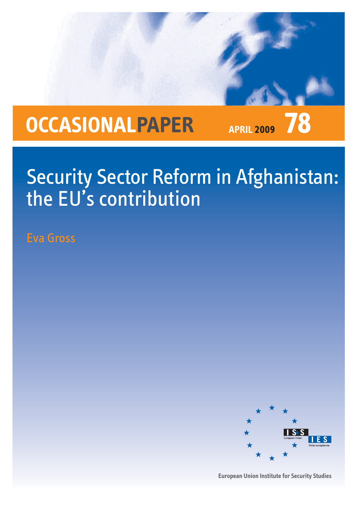

78 **APRIL 2009** 

# **Security Sector Reform in Afghanistan:** the EU's contribution

Eva Gross



**European Union Institute for Security Studies**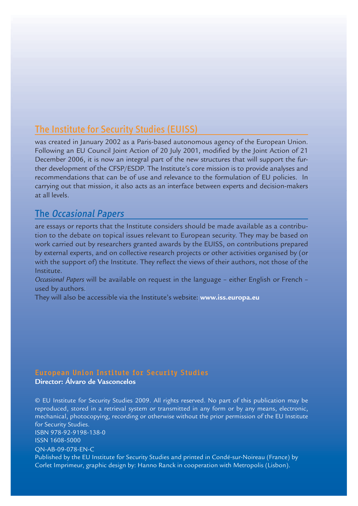#### The Institute for Security Studies (EUISS)

was created in January 2002 as a Paris-based autonomous agency of the European Union. Following an EU Council Joint Action of 20 July 2001, modified by the Joint Action of 21 December 2006, it is now an integral part of the new structures that will support the further development of the CFSP/ESDP. The Institute's core mission is to provide analyses and recommendations that can be of use and relevance to the formulation of EU policies. In carrying out that mission, it also acts as an interface between experts and decision-makers at all levels.

#### The Occasional Papers

are essays or reports that the Institute considers should be made available as a contribution to the debate on topical issues relevant to European security. They may be based on work carried out by researchers granted awards by the EUISS, on contributions prepared by external experts, and on collective research projects or other activities organised by (or with the support of) the Institute. They reflect the views of their authors, not those of the Institute.

*Occasional Papers* will be available on request in the language – either English or French – used by authors.

They will also be accessible via the Institute's website: **www.iss.europa.eu**

#### **European Union Institute for Security Studies**

**Director: Álvaro de Vasconcelos**

© EU Institute for Security Studies 2009. All rights reserved. No part of this publication may be reproduced, stored in a retrieval system or transmitted in any form or by any means, electronic, mechanical, photocopying, recording or otherwise without the prior permission of the EU Institute for Security Studies.

ISBN 978-92-9198-138-0

ISSN 1608-5000

QN-AB-09-078-EN-C

Published by the EU Institute for Security Studies and printed in Condé-sur-Noireau (France) by Corlet Imprimeur, graphic design by: Hanno Ranck in cooperation with Metropolis (Lisbon).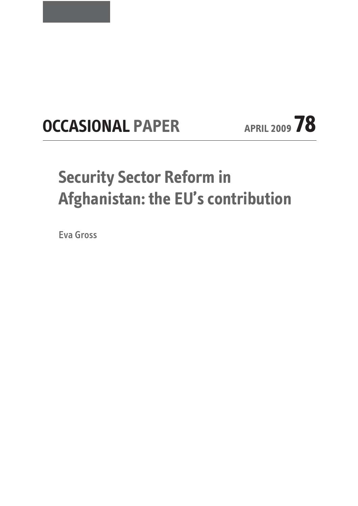# **OCCASIONAL PAPER**

**APRIL 2009 78** 

# **Security Sector Reform in** Afghanistan: the EU's contribution

Eva Gross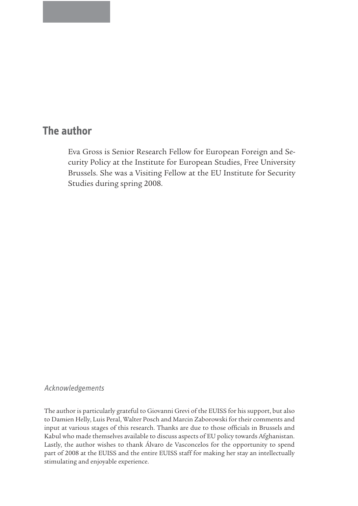### **The author**

Eva Gross is Senior Research Fellow for European Foreign and Security Policy at the Institute for European Studies, Free University Brussels. She was a Visiting Fellow at the EU Institute for Security Studies during spring 2008.

#### Acknowledgements

The author is particularly grateful to Giovanni Grevi of the EUISS for his support, but also to Damien Helly, Luis Peral, Walter Posch and Marcin Zaborowski for their comments and input at various stages of this research. Thanks are due to those officials in Brussels and Kabul who made themselves available to discuss aspects of EU policy towards Afghanistan. Lastly, the author wishes to thank Álvaro de Vasconcelos for the opportunity to spend part of 2008 at the EUISS and the entire EUISS staff for making her stay an intellectually stimulating and enjoyable experience.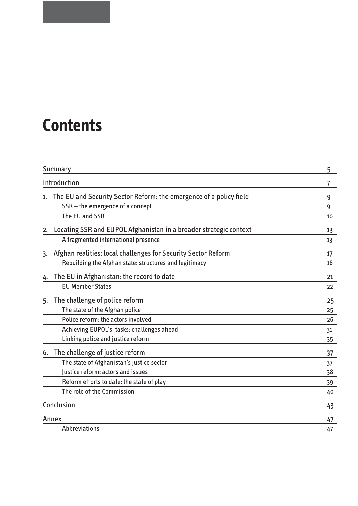## **Contents**

| <b>Summary</b><br>Introduction                                          |    |
|-------------------------------------------------------------------------|----|
|                                                                         |    |
| $SSR$ – the emergence of a concept                                      | 9  |
| The EU and SSR                                                          | 10 |
| Locating SSR and EUPOL Afghanistan in a broader strategic context<br>2. | 13 |
| A fragmented international presence                                     | 13 |
| Afghan realities: local challenges for Security Sector Reform<br>3.     | 17 |
| Rebuilding the Afghan state: structures and legitimacy                  | 18 |
| The EU in Afghanistan: the record to date                               | 21 |
| <b>EU Member States</b>                                                 | 22 |
| The challenge of police reform<br>5.                                    | 25 |
| The state of the Afghan police                                          | 25 |
| Police reform: the actors involved                                      | 26 |
| Achieving EUPOL's tasks: challenges ahead                               | 31 |
| Linking police and justice reform                                       | 35 |
| The challenge of justice reform<br>6.                                   | 37 |
| The state of Afghanistan's justice sector                               | 37 |
| Justice reform: actors and issues                                       | 38 |
| Reform efforts to date: the state of play                               | 39 |
| The role of the Commission                                              | 40 |
| Conclusion                                                              | 43 |
| Annex                                                                   | 47 |
| <b>Abbreviations</b>                                                    | 47 |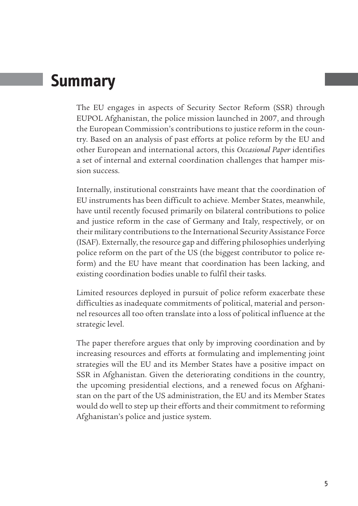## <span id="page-6-0"></span>**Summary**

The EU engages in aspects of Security Sector Reform (SSR) through EUPOL Afghanistan, the police mission launched in 2007, and through the European Commission's contributions to justice reform in the country. Based on an analysis of past efforts at police reform by the EU and other European and international actors, this *Occasional Paper* identifies a set of internal and external coordination challenges that hamper mission success.

Internally, institutional constraints have meant that the coordination of EU instruments has been difficult to achieve. Member States, meanwhile, have until recently focused primarily on bilateral contributions to police and justice reform in the case of Germany and Italy, respectively, or on their military contributions to the International Security Assistance Force (ISAF). Externally, the resource gap and differing philosophies underlying police reform on the part of the US (the biggest contributor to police reform) and the EU have meant that coordination has been lacking, and existing coordination bodies unable to fulfil their tasks.

Limited resources deployed in pursuit of police reform exacerbate these difficulties as inadequate commitments of political, material and personnel resources all too often translate into a loss of political influence at the strategic level.

The paper therefore argues that only by improving coordination and by increasing resources and efforts at formulating and implementing joint strategies will the EU and its Member States have a positive impact on SSR in Afghanistan. Given the deteriorating conditions in the country, the upcoming presidential elections, and a renewed focus on Afghanistan on the part of the US administration, the EU and its Member States would do well to step up their efforts and their commitment to reforming Afghanistan's police and justice system.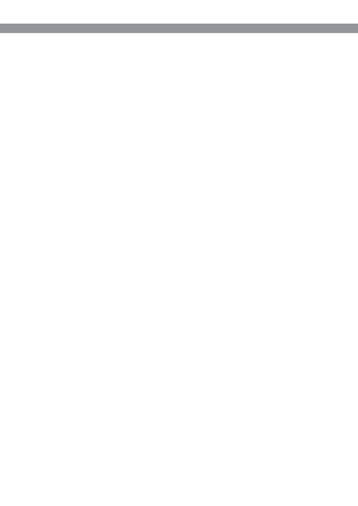a sa kacamatan ing Kabupatèn Kabupatèn Kabupatèn Kabupatèn Kabupatèn Kabupatèn Kabupatèn Kabupatèn Kabupatèn K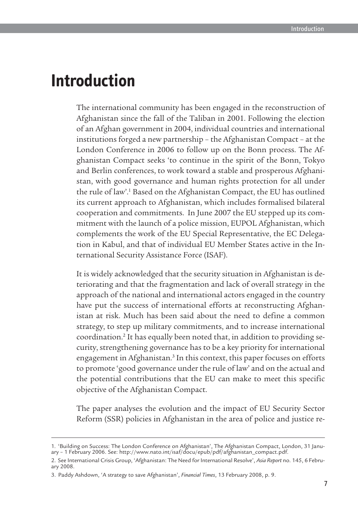## <span id="page-8-0"></span>**Introduction**

The international community has been engaged in the reconstruction of Afghanistan since the fall of the Taliban in 2001. Following the election of an Afghan government in 2004, individual countries and international institutions forged a new partnership – the Afghanistan Compact – at the London Conference in 2006 to follow up on the Bonn process. The Afghanistan Compact seeks 'to continue in the spirit of the Bonn, Tokyo and Berlin conferences, to work toward a stable and prosperous Afghanistan, with good governance and human rights protection for all under the rule of law'.<sup>1</sup> Based on the Afghanistan Compact, the EU has outlined its current approach to Afghanistan, which includes formalised bilateral cooperation and commitments. In June 2007 the EU stepped up its commitment with the launch of a police mission, EUPOL Afghanistan, which complements the work of the EU Special Representative, the EC Delegation in Kabul, and that of individual EU Member States active in the International Security Assistance Force (ISAF).

It is widely acknowledged that the security situation in Afghanistan is deteriorating and that the fragmentation and lack of overall strategy in the approach of the national and international actors engaged in the country have put the success of international efforts at reconstructing Afghanistan at risk. Much has been said about the need to define a common strategy, to step up military commitments, and to increase international coordination.2 It has equally been noted that, in addition to providing security, strengthening governance has to be a key priority for international engagement in Afghanistan.<sup>3</sup> In this context, this paper focuses on efforts to promote 'good governance under the rule of law' and on the actual and the potential contributions that the EU can make to meet this specific objective of the Afghanistan Compact.

The paper analyses the evolution and the impact of EU Security Sector Reform (SSR) policies in Afghanistan in the area of police and justice re-

<sup>1. &#</sup>x27;Building on Success: The London Conference on Afghanistan', The Afghanistan Compact, London, 31 January – 1 February 2006. See: http://www.nato.int/isaf/docu/epub/pdf/afghanistan\_compact.pdf.

<sup>2.</sup> See International Crisis Group, 'Afghanistan: The Need for International Resolve', *Asia Report* no. 145, 6 February 2008.

<sup>3.</sup> Paddy Ashdown, 'A strategy to save Afghanistan', *Financial Times*, 13 February 2008, p. 9.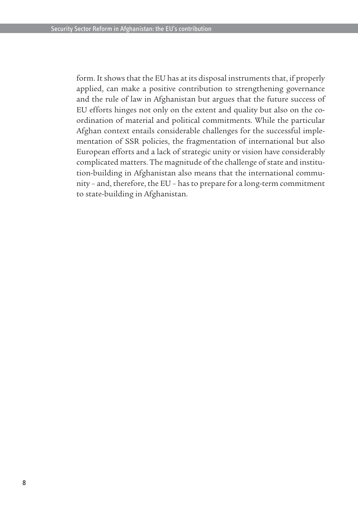form. It shows that the EU has at its disposal instruments that, if properly applied, can make a positive contribution to strengthening governance and the rule of law in Afghanistan but argues that the future success of EU efforts hinges not only on the extent and quality but also on the coordination of material and political commitments. While the particular Afghan context entails considerable challenges for the successful implementation of SSR policies, the fragmentation of international but also European efforts and a lack of strategic unity or vision have considerably complicated matters. The magnitude of the challenge of state and institution-building in Afghanistan also means that the international community – and, therefore, the EU – has to prepare for a long-term commitment to state-building in Afghanistan.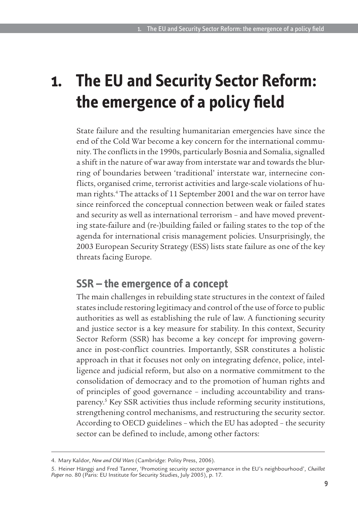# <span id="page-10-0"></span>**1. The EU and Security Sector Reform:** the emergence of a policy field

State failure and the resulting humanitarian emergencies have since the end of the Cold War become a key concern for the international community. The conflicts in the 1990s, particularly Bosnia and Somalia, signalled a shift in the nature of war away from interstate war and towards the blurring of boundaries between 'traditional' interstate war, internecine conflicts, organised crime, terrorist activities and large-scale violations of human rights.4 The attacks of 11 September 2001 and the war on terror have since reinforced the conceptual connection between weak or failed states and security as well as international terrorism – and have moved preventing state-failure and (re-)building failed or failing states to the top of the agenda for international crisis management policies. Unsurprisingly, the 2003 European Security Strategy (ESS) lists state failure as one of the key threats facing Europe.

### **SSR** – the emergence of a concept

The main challenges in rebuilding state structures in the context of failed states include restoring legitimacy and control of the use of force to public authorities as well as establishing the rule of law. A functioning security and justice sector is a key measure for stability. In this context, Security Sector Reform (SSR) has become a key concept for improving governance in post-conflict countries. Importantly, SSR constitutes a holistic approach in that it focuses not only on integrating defence, police, intelligence and judicial reform, but also on a normative commitment to the consolidation of democracy and to the promotion of human rights and of principles of good governance – including accountability and transparency.5 Key SSR activities thus include reforming security institutions, strengthening control mechanisms, and restructuring the security sector. According to OECD guidelines – which the EU has adopted – the security sector can be defined to include, among other factors:

<sup>4.</sup> Mary Kaldor, *New and Old Wars* (Cambridge: Polity Press, 2006).

<sup>5.</sup> Heiner Hänggi and Fred Tanner, 'Promoting security sector governance in the EU's neighbourhood', *Chaillot Paper* no. 80 (Paris: EU Institute for Security Studies, July 2005), p. 17.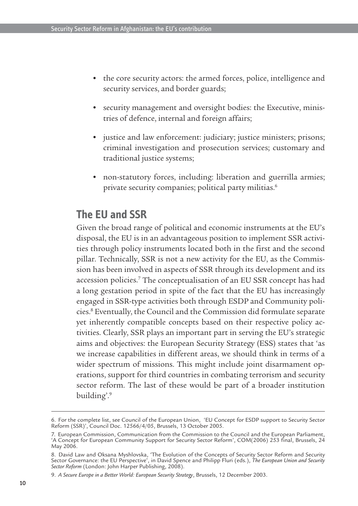- <span id="page-11-0"></span>• the core security actors: the armed forces, police, intelligence and security services, and border guards;
- security management and oversight bodies: the Executive, ministries of defence, internal and foreign affairs;
- justice and law enforcement: judiciary; justice ministers; prisons; criminal investigation and prosecution services; customary and traditional justice systems;
- non-statutory forces, including: liberation and guerrilla armies; private security companies; political party militias.<sup>6</sup>

### **The EU and SSR**

Given the broad range of political and economic instruments at the EU's disposal, the EU is in an advantageous position to implement SSR activities through policy instruments located both in the first and the second pillar. Technically, SSR is not a new activity for the EU, as the Commission has been involved in aspects of SSR through its development and its accession policies.7 The conceptualisation of an EU SSR concept has had a long gestation period in spite of the fact that the EU has increasingly engaged in SSR-type activities both through ESDP and Community policies.8 Eventually, the Council and the Commission did formulate separate yet inherently compatible concepts based on their respective policy activities. Clearly, SSR plays an important part in serving the EU's strategic aims and objectives: the European Security Strategy (ESS) states that 'as we increase capabilities in different areas, we should think in terms of a wider spectrum of missions. This might include joint disarmament operations, support for third countries in combating terrorism and security sector reform. The last of these would be part of a broader institution building'.9

<sup>6.</sup> For the complete list, see Council of the European Union, 'EU Concept for ESDP support to Security Sector Reform (SSR)', Council Doc. 12566/4/05, Brussels, 13 October 2005.

<sup>7.</sup> European Commission, Communication from the Commission to the Council and the European Parliament, 'A Concept for European Community Support for Security Sector Reform', COM(2006) 253 final, Brussels, 24 May 2006.

<sup>8.</sup> David Law and Oksana Myshlovska, 'The Evolution of the Concepts of Security Sector Reform and Security Sector Governance: the EU Perspective', in David Spence and Philipp Fluri (eds.), *The European Union and Security Sector Reform* (London: John Harper Publishing, 2008).

<sup>9.</sup> *A Secure Europe in a Better World: European Security Strategy*, Brussels, 12 December 2003.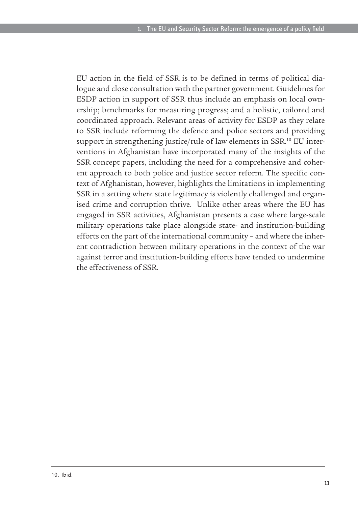EU action in the field of SSR is to be defined in terms of political dialogue and close consultation with the partner government. Guidelines for ESDP action in support of SSR thus include an emphasis on local ownership; benchmarks for measuring progress; and a holistic, tailored and coordinated approach. Relevant areas of activity for ESDP as they relate to SSR include reforming the defence and police sectors and providing support in strengthening justice/rule of law elements in SSR.<sup>10</sup> EU interventions in Afghanistan have incorporated many of the insights of the SSR concept papers, including the need for a comprehensive and coherent approach to both police and justice sector reform. The specific context of Afghanistan, however, highlights the limitations in implementing SSR in a setting where state legitimacy is violently challenged and organised crime and corruption thrive. Unlike other areas where the EU has engaged in SSR activities, Afghanistan presents a case where large-scale military operations take place alongside state- and institution-building efforts on the part of the international community – and where the inherent contradiction between military operations in the context of the war against terror and institution-building efforts have tended to undermine the effectiveness of SSR.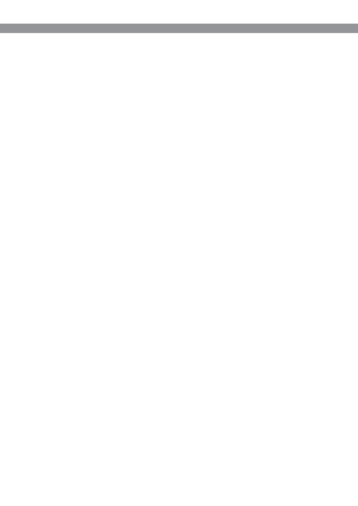a sa kacamatan ing Kabupatèn Kabupatèn Kabupatèn Kabupatèn Kabupatèn Kabupatèn Kabupatèn Kabupatèn Kabupatèn K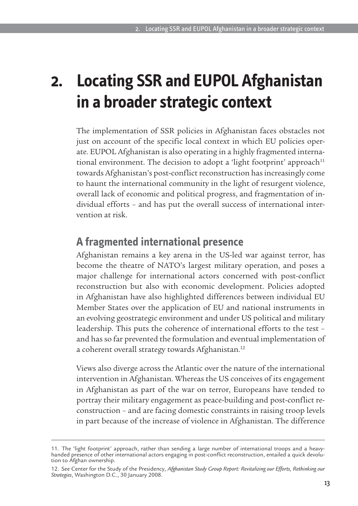# <span id="page-14-0"></span>**2. Locating SSR and EUPOL Afghanistan in a broader strategic context**

The implementation of SSR policies in Afghanistan faces obstacles not just on account of the specific local context in which EU policies operate. EUPOL Afghanistan is also operating in a highly fragmented international environment. The decision to adopt a 'light footprint' approach $11$ towards Afghanistan's post-conflict reconstruction has increasingly come to haunt the international community in the light of resurgent violence, overall lack of economic and political progress, and fragmentation of individual efforts – and has put the overall success of international intervention at risk.

### **A** fragmented international presence

Afghanistan remains a key arena in the US-led war against terror, has become the theatre of NATO's largest military operation, and poses a major challenge for international actors concerned with post-conflict reconstruction but also with economic development. Policies adopted in Afghanistan have also highlighted differences between individual EU Member States over the application of EU and national instruments in an evolving geostrategic environment and under US political and military leadership. This puts the coherence of international efforts to the test – and has so far prevented the formulation and eventual implementation of a coherent overall strategy towards Afghanistan.<sup>12</sup>

Views also diverge across the Atlantic over the nature of the international intervention in Afghanistan. Whereas the US conceives of its engagement in Afghanistan as part of the war on terror, Europeans have tended to portray their military engagement as peace-building and post-conflict reconstruction – and are facing domestic constraints in raising troop levels in part because of the increase of violence in Afghanistan. The difference

<sup>11.</sup> The 'light footprint' approach, rather than sending a large number of international troops and a heavyhanded presence of other international actors engaging in post-conflict reconstruction, entailed a quick devolution to Afghan ownership.

<sup>12.</sup> See Center for the Study of the Presidency, *Afghanistan Study Group Report: Revitalizing our Efforts, Rethinking our Strategies*, Washington D.C., 30 January 2008.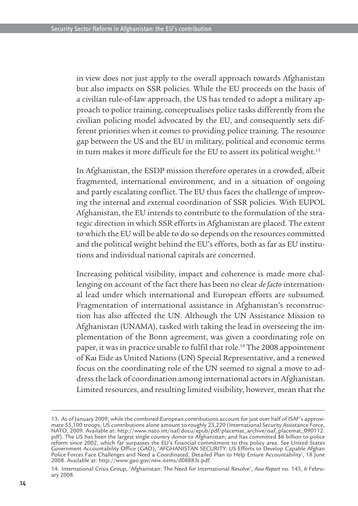in view does not just apply to the overall approach towards Afghanistan but also impacts on SSR policies. While the EU proceeds on the basis of a civilian rule-of-law approach, the US has tended to adopt a military approach to police training, conceptualises police tasks differently from the civilian policing model advocated by the EU, and consequently sets different priorities when it comes to providing police training. The resource gap between the US and the EU in military, political and economic terms in turn makes it more difficult for the EU to assert its political weight.<sup>13</sup>

In Afghanistan, the ESDP mission therefore operates in a crowded, albeit fragmented, international environment, and in a situation of ongoing and partly escalating conflict. The EU thus faces the challenge of improving the internal and external coordination of SSR policies. With EUPOL Afghanistan, the EU intends to contribute to the formulation of the strategic direction in which SSR efforts in Afghanistan are placed. The extent to which the EU will be able to do so depends on the resources committed and the political weight behind the EU's efforts, both as far as EU institutions and individual national capitals are concerned.

Increasing political visibility, impact and coherence is made more challenging on account of the fact there has been no clear *de facto* international lead under which international and European efforts are subsumed. Fragmentation of international assistance in Afghanistan's reconstruction has also affected the UN. Although the UN Assistance Mission to Afghanistan (UNAMA), tasked with taking the lead in overseeing the implementation of the Bonn agreement, was given a coordinating role on paper, it was in practice unable to fulfil that role.14 The 2008 appointment of Kai Eide as United Nations (UN) Special Representative, and a renewed focus on the coordinating role of the UN seemed to signal a move to address the lack of coordination among international actors in Afghanistan. Limited resources, and resulting limited visibility, however, mean that the

<sup>13.</sup> As of January 2009, while the combined European contributions account for just over half of ISAF's approximate 55,100 troops, US contributions alone amount to roughly 23,220 (International Security Assistance Force, NATO, 2009. Available at: http://www.nato.int/isaf/docu/epub/pdf/placemat\_archive/isaf\_placemat\_090112. pdf). The US has been the largest single country donor to Afghanistan; and has committed \$6 billion to police reform since 2002, which far surpasses the EU's financial commitment to this policy area. See United States Government Accountability Office (GAO), 'AFGHANISTAN SECURITY: US Efforts to Develop Capable Afghan Police Forces Face Challenges and Need a Coordinated, Detailed Plan to Help Ensure Accountability', 18 June 2008. Available at: http://www.gao.gov/new.items/d08883t.pdf.

<sup>14.</sup> International Crisis Group, 'Afghanistan: The Need for International Resolve', *Asia Report* no. 145, 6 February 2008.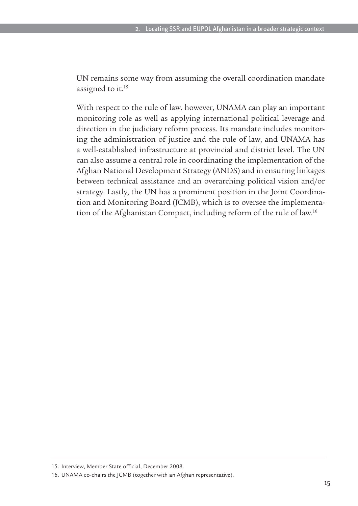UN remains some way from assuming the overall coordination mandate assigned to it.<sup>15</sup>

With respect to the rule of law, however, UNAMA can play an important monitoring role as well as applying international political leverage and direction in the judiciary reform process. Its mandate includes monitoring the administration of justice and the rule of law, and UNAMA has a well-established infrastructure at provincial and district level. The UN can also assume a central role in coordinating the implementation of the Afghan National Development Strategy (ANDS) and in ensuring linkages between technical assistance and an overarching political vision and/or strategy. Lastly, the UN has a prominent position in the Joint Coordination and Monitoring Board (JCMB), which is to oversee the implementation of the Afghanistan Compact, including reform of the rule of law.16

<sup>15.</sup> Interview, Member State official, December 2008.

<sup>16.</sup> UNAMA co-chairs the JCMB (together with an Afghan representative).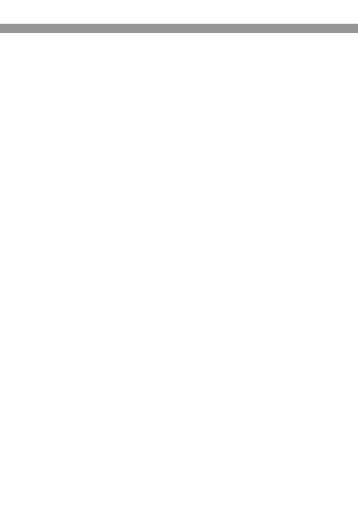a sa kacamatan ing Kabupatèn Kabupatèn Kabupatèn Kabupatèn Kabupatèn Kabupatèn Kabupatèn Kabupatèn Kabupatèn K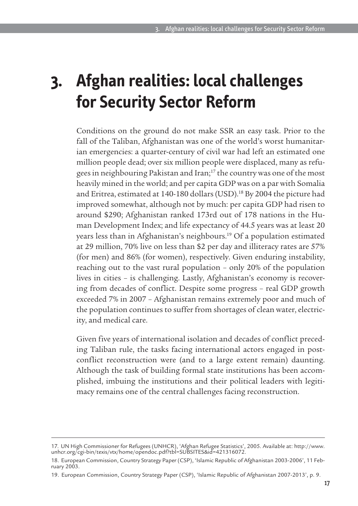# <span id="page-18-0"></span>**3.** Afghan realities: local challenges **for Security Sector Reform**

Conditions on the ground do not make SSR an easy task. Prior to the fall of the Taliban, Afghanistan was one of the world's worst humanitarian emergencies: a quarter-century of civil war had left an estimated one million people dead; over six million people were displaced, many as refugees in neighbouring Pakistan and Iran;<sup>17</sup> the country was one of the most heavily mined in the world; and per capita GDP was on a par with Somalia and Eritrea, estimated at 140-180 dollars (USD).<sup>18</sup> By 2004 the picture had improved somewhat, although not by much: per capita GDP had risen to around \$290; Afghanistan ranked 173rd out of 178 nations in the Human Development Index; and life expectancy of 44.5 years was at least 20 years less than in Afghanistan's neighbours.19 Of a population estimated at 29 million, 70% live on less than \$2 per day and illiteracy rates are 57% (for men) and 86% (for women), respectively. Given enduring instability, reaching out to the vast rural population – only 20% of the population lives in cities – is challenging. Lastly, Afghanistan's economy is recovering from decades of conflict. Despite some progress – real GDP growth exceeded 7% in 2007 – Afghanistan remains extremely poor and much of the population continues to suffer from shortages of clean water, electricity, and medical care.

Given five years of international isolation and decades of conflict preceding Taliban rule, the tasks facing international actors engaged in postconflict reconstruction were (and to a large extent remain) daunting. Although the task of building formal state institutions has been accomplished, imbuing the institutions and their political leaders with legitimacy remains one of the central challenges facing reconstruction.

<sup>17.</sup> UN High Commissioner for Refugees (UNHCR), 'Afghan Refugee Statistics', 2005. Available at: http://www. unhcr.org/cgi-bin/texis/vtx/home/opendoc.pdf?tbl=SUBSITES&id=421316072.

<sup>18.</sup> European Commission, Country Strategy Paper (CSP), 'Islamic Republic of Afghanistan 2003-2006', 11 February 2003.

<sup>19.</sup> European Commission, Country Strategy Paper (CSP), 'Islamic Republic of Afghanistan 2007-2013', p. 9.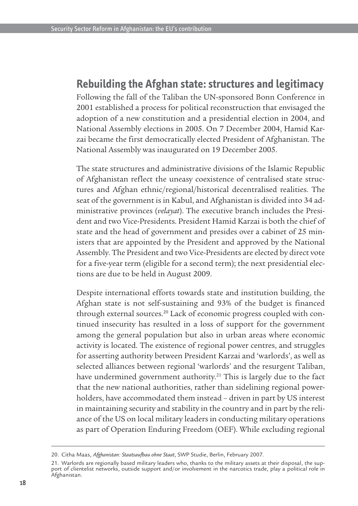### <span id="page-19-0"></span>**Rebuilding the Afghan state: structures and legitimacy**

Following the fall of the Taliban the UN-sponsored Bonn Conference in 2001 established a process for political reconstruction that envisaged the adoption of a new constitution and a presidential election in 2004, and National Assembly elections in 2005. On 7 December 2004, Hamid Karzai became the first democratically elected President of Afghanistan. The National Assembly was inaugurated on 19 December 2005.

The state structures and administrative divisions of the Islamic Republic of Afghanistan reflect the uneasy coexistence of centralised state structures and Afghan ethnic/regional/historical decentralised realities. The seat of the government is in Kabul, and Afghanistan is divided into 34 administrative provinces (*velayat*). The executive branch includes the President and two Vice-Presidents. President Hamid Karzai is both the chief of state and the head of government and presides over a cabinet of 25 ministers that are appointed by the President and approved by the National Assembly. The President and two Vice-Presidents are elected by direct vote for a five-year term (eligible for a second term); the next presidential elections are due to be held in August 2009.

Despite international efforts towards state and institution building, the Afghan state is not self-sustaining and 93% of the budget is financed through external sources.20 Lack of economic progress coupled with continued insecurity has resulted in a loss of support for the government among the general population but also in urban areas where economic activity is located. The existence of regional power centres, and struggles for asserting authority between President Karzai and 'warlords', as well as selected alliances between regional 'warlords' and the resurgent Taliban, have undermined government authority.<sup>21</sup> This is largely due to the fact that the new national authorities, rather than sidelining regional powerholders, have accommodated them instead – driven in part by US interest in maintaining security and stability in the country and in part by the reliance of the US on local military leaders in conducting military operations as part of Operation Enduring Freedom (OEF). While excluding regional

<sup>20.</sup> Citha Maas, *Afghanistan: Staatsaufbau ohne Staat*, SWP Studie, Berlin, February 2007.

<sup>21.</sup> Warlords are regionally based military leaders who, thanks to the military assets at their disposal, the support of clientelist networks, outside support and/or involvement in the narcotics trade, play a political role in Afghanistan.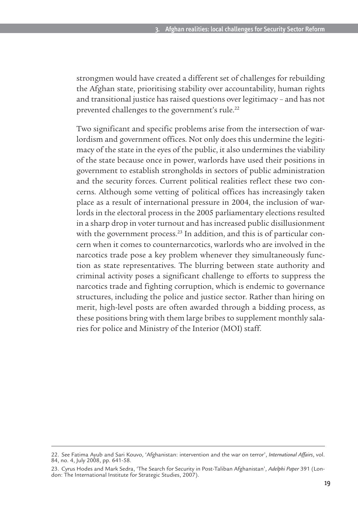strongmen would have created a different set of challenges for rebuilding the Afghan state, prioritising stability over accountability, human rights and transitional justice has raised questions over legitimacy – and has not prevented challenges to the government's rule.<sup>22</sup>

Two significant and specific problems arise from the intersection of warlordism and government offices. Not only does this undermine the legitimacy of the state in the eyes of the public, it also undermines the viability of the state because once in power, warlords have used their positions in government to establish strongholds in sectors of public administration and the security forces. Current political realities reflect these two concerns. Although some vetting of political offices has increasingly taken place as a result of international pressure in 2004, the inclusion of warlords in the electoral process in the 2005 parliamentary elections resulted in a sharp drop in voter turnout and has increased public disillusionment with the government process.<sup>23</sup> In addition, and this is of particular concern when it comes to counternarcotics, warlords who are involved in the narcotics trade pose a key problem whenever they simultaneously function as state representatives. The blurring between state authority and criminal activity poses a significant challenge to efforts to suppress the narcotics trade and fighting corruption, which is endemic to governance structures, including the police and justice sector. Rather than hiring on merit, high-level posts are often awarded through a bidding process, as these positions bring with them large bribes to supplement monthly salaries for police and Ministry of the Interior (MOI) staff.

<sup>22.</sup> See Fatima Ayub and Sari Kouvo, 'Afghanistan: intervention and the war on terror', *International Affairs*, vol. 84, no. 4, July 2008, pp. 641-58.

<sup>23.</sup> Cyrus Hodes and Mark Sedra, 'The Search for Security in Post-Taliban Afghanistan', *Adelphi Paper* 391 (London: The International Institute for Strategic Studies, 2007).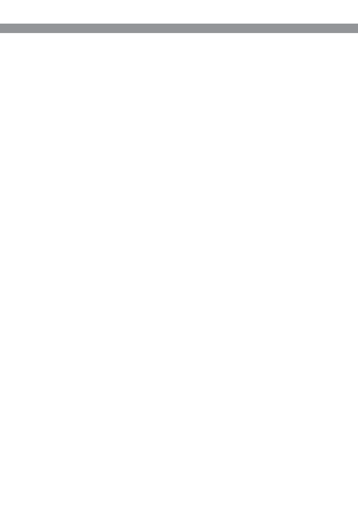a sa kacamatan ing Kabupatèn Kabupatèn Kabupatèn Kabupatèn Kabupatèn Kabupatèn Kabupatèn Kabupatèn Kabupatèn K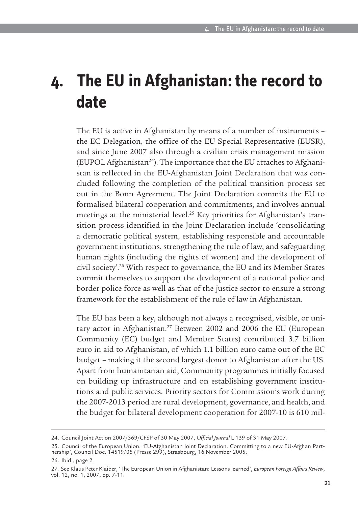# <span id="page-22-0"></span>4. The EU in Afghanistan: the record to date

The EU is active in Afghanistan by means of a number of instruments – the EC Delegation, the office of the EU Special Representative (EUSR), and since June 2007 also through a civilian crisis management mission (EUPOL Afghanistan<sup>24</sup>). The importance that the EU attaches to Afghanistan is reflected in the EU-Afghanistan Joint Declaration that was concluded following the completion of the political transition process set out in the Bonn Agreement. The Joint Declaration commits the EU to formalised bilateral cooperation and commitments, and involves annual meetings at the ministerial level.<sup>25</sup> Key priorities for Afghanistan's transition process identified in the Joint Declaration include 'consolidating a democratic political system, establishing responsible and accountable government institutions, strengthening the rule of law, and safeguarding human rights (including the rights of women) and the development of civil society'.26 With respect to governance, the EU and its Member States commit themselves to support the development of a national police and border police force as well as that of the justice sector to ensure a strong framework for the establishment of the rule of law in Afghanistan.

The EU has been a key, although not always a recognised, visible, or unitary actor in Afghanistan.<sup>27</sup> Between 2002 and 2006 the EU (European Community (EC) budget and Member States) contributed 3.7 billion euro in aid to Afghanistan, of which 1.1 billion euro came out of the EC budget – making it the second largest donor to Afghanistan after the US. Apart from humanitarian aid, Community programmes initially focused on building up infrastructure and on establishing government institutions and public services. Priority sectors for Commission's work during the 2007-2013 period are rural development, governance, and health, and the budget for bilateral development cooperation for 2007-10 is 610 mil-

<sup>24.</sup> Council Joint Action 2007/369/CFSP of 30 May 2007, *Official Journal* L 139 of 31 May 2007.

<sup>25.</sup> Council of the European Union, 'EU-Afghanistan Joint Declaration. Committing to a new EU-Afghan Partnership', Council Doc. 14519/05 (Presse 299), Strasbourg, 16 November 2005.

<sup>26.</sup> Ibid., page 2.

<sup>27.</sup> See Klaus Peter Klaiber, 'The European Union in Afghanistan: Lessons learned', *European Foreign Affairs Review*, vol. 12, no. 1, 2007, pp. 7-11.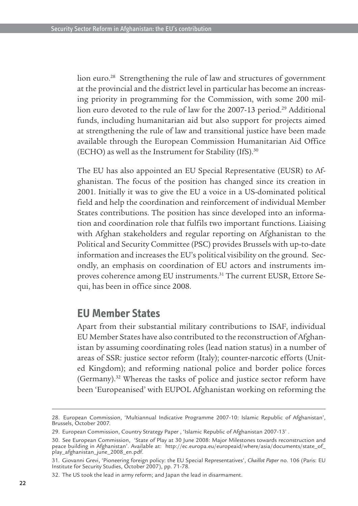<span id="page-23-0"></span>lion euro.<sup>28</sup> Strengthening the rule of law and structures of government at the provincial and the district level in particular has become an increasing priority in programming for the Commission, with some 200 million euro devoted to the rule of law for the 2007-13 period.<sup>29</sup> Additional funds, including humanitarian aid but also support for projects aimed at strengthening the rule of law and transitional justice have been made available through the European Commission Humanitarian Aid Office (ECHO) as well as the Instrument for Stability (IfS).30

The EU has also appointed an EU Special Representative (EUSR) to Afghanistan. The focus of the position has changed since its creation in 2001. Initially it was to give the EU a voice in a US-dominated political field and help the coordination and reinforcement of individual Member States contributions. The position has since developed into an information and coordination role that fulfils two important functions. Liaising with Afghan stakeholders and regular reporting on Afghanistan to the Political and Security Committee (PSC) provides Brussels with up-to-date information and increases the EU's political visibility on the ground. Secondly, an emphasis on coordination of EU actors and instruments improves coherence among EU instruments.<sup>31</sup> The current EUSR, Ettore Sequi, has been in office since 2008.

### **EU Member States**

Apart from their substantial military contributions to ISAF, individual EU Member States have also contributed to the reconstruction of Afghanistan by assuming coordinating roles (lead nation status) in a number of areas of SSR: justice sector reform (Italy); counter-narcotic efforts (United Kingdom); and reforming national police and border police forces (Germany).32 Whereas the tasks of police and justice sector reform have been 'Europeanised' with EUPOL Afghanistan working on reforming the

<sup>28.</sup> European Commission, 'Multiannual Indicative Programme 2007-10: Islamic Republic of Afghanistan', Brussels, October 2007.

<sup>29.</sup> European Commission, Country Strategy Paper , 'Islamic Republic of Afghanistan 2007-13' .

<sup>30.</sup> See European Commission, 'State of Play at 30 June 2008: Major Milestones towards reconstruction and peace building in Afghanistan'. Available at: http://ec.europa.eu/europeaid/where/asia/documents/state\_of\_ play\_afghanistan\_june\_2008\_en.pdf.

<sup>31.</sup> Giovanni Grevi, 'Pioneering foreign policy: the EU Special Representatives', *Chaillot Paper* no. 106 (Paris: EU Institute for Security Studies, October 2007), pp. 71-78.

<sup>32.</sup> The US took the lead in army reform; and Japan the lead in disarmament.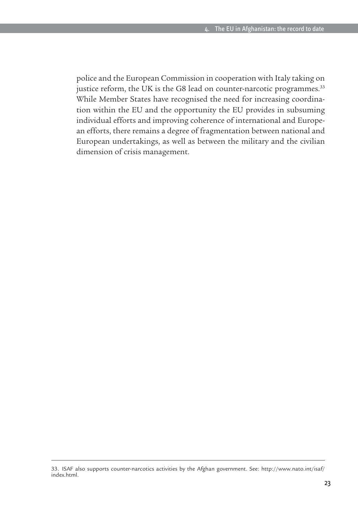police and the European Commission in cooperation with Italy taking on justice reform, the UK is the G8 lead on counter-narcotic programmes.<sup>33</sup> While Member States have recognised the need for increasing coordination within the EU and the opportunity the EU provides in subsuming individual efforts and improving coherence of international and European efforts, there remains a degree of fragmentation between national and European undertakings, as well as between the military and the civilian dimension of crisis management.

<sup>33.</sup> ISAF also supports counter-narcotics activities by the Afghan government. See: http://www.nato.int/isaf/ index.html.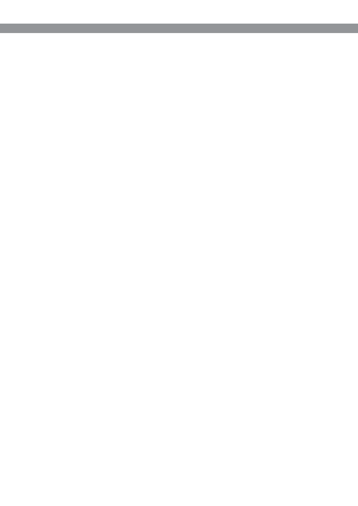a sa kacamatan ing Kabupatèn Kabupatèn Kabupatèn Kabupatèn Kabupatèn Kabupatèn Kabupatèn Kabupatèn Kabupatèn K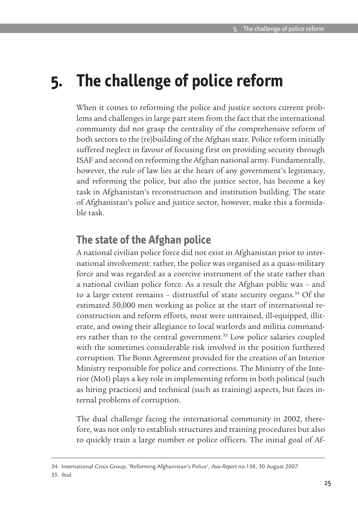## <span id="page-26-0"></span>**5.** The challenge of police reform

When it comes to reforming the police and justice sectors current problems and challenges in large part stem from the fact that the international community did not grasp the centrality of the comprehensive reform of both sectors to the (re)building of the Afghan state. Police reform initially suffered neglect in favour of focusing first on providing security through ISAF and second on reforming the Afghan national army. Fundamentally, however, the rule of law lies at the heart of any government's legitimacy, and reforming the police, but also the justice sector, has become a key task in Afghanistan's reconstruction and institution building. The state of Afghanistan's police and justice sector, however, make this a formidable task.

### **The state of the Afghan police**

A national civilian police force did not exist in Afghanistan prior to international involvement: rather, the police was organised as a quasi-military force and was regarded as a coercive instrument of the state rather than a national civilian police force. As a result the Afghan public was – and to a large extent remains  $-$  distrustful of state security organs.<sup>34</sup> Of the estimated 50,000 men working as police at the start of international reconstruction and reform efforts, most were untrained, ill-equipped, illiterate, and owing their allegiance to local warlords and militia commanders rather than to the central government.<sup>35</sup> Low police salaries coupled with the sometimes considerable risk involved in the position furthered corruption. The Bonn Agreement provided for the creation of an Interior Ministry responsible for police and corrections. The Ministry of the Interior (MoI) plays a key role in implementing reform in both political (such as hiring practices) and technical (such as training) aspects, but faces internal problems of corruption.

The dual challenge facing the international community in 2002, therefore, was not only to establish structures and training procedures but also to quickly train a large number or police officers. The initial goal of Af-

<sup>34.</sup> International Crisis Group, 'Reforming Afghanistan's Police', *Asia Report* no.138, 30 August 2007. 35. Ibid.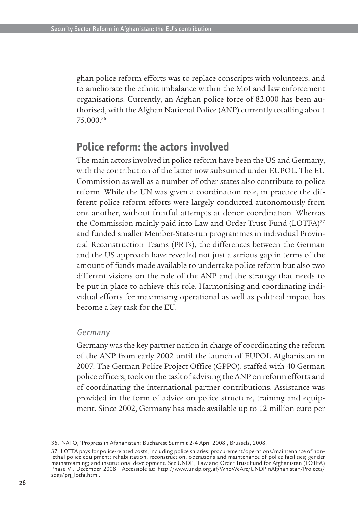<span id="page-27-0"></span>ghan police reform efforts was to replace conscripts with volunteers, and to ameliorate the ethnic imbalance within the MoI and law enforcement organisations. Currently, an Afghan police force of 82,000 has been authorised, with the Afghan National Police (ANP) currently totalling about 75,000.36

### **Police reform: the actors involved**

The main actors involved in police reform have been the US and Germany, with the contribution of the latter now subsumed under EUPOL. The EU Commission as well as a number of other states also contribute to police reform. While the UN was given a coordination role, in practice the different police reform efforts were largely conducted autonomously from one another, without fruitful attempts at donor coordination. Whereas the Commission mainly paid into Law and Order Trust Fund (LOTFA)<sup>37</sup> and funded smaller Member-State-run programmes in individual Provincial Reconstruction Teams (PRTs), the differences between the German and the US approach have revealed not just a serious gap in terms of the amount of funds made available to undertake police reform but also two different visions on the role of the ANP and the strategy that needs to be put in place to achieve this role. Harmonising and coordinating individual efforts for maximising operational as well as political impact has become a key task for the EU.

#### Germany

Germany was the key partner nation in charge of coordinating the reform of the ANP from early 2002 until the launch of EUPOL Afghanistan in 2007. The German Police Project Office (GPPO), staffed with 40 German police officers, took on the task of advising the ANP on reform efforts and of coordinating the international partner contributions. Assistance was provided in the form of advice on police structure, training and equipment. Since 2002, Germany has made available up to 12 million euro per

<sup>36.</sup> NATO, 'Progress in Afghanistan: Bucharest Summit 2-4 April 2008', Brussels, 2008.

<sup>37.</sup> LOTFA pays for police-related costs, including police salaries; procurement/operations/maintenance of nonlethal police equipment; rehabilitation, reconstruction, operations and maintenance of police facilities; gender mainstreaming; and institutional development. See UNDP, 'Law and Order Trust Fund for Afghanistan (LOTFA) Phase V', December 2008. Accessible at: http://www.undp.org.af/WhoWeAre/UNDPinAfghanistan/Projects/ sbgs/prj\_lotfa.html.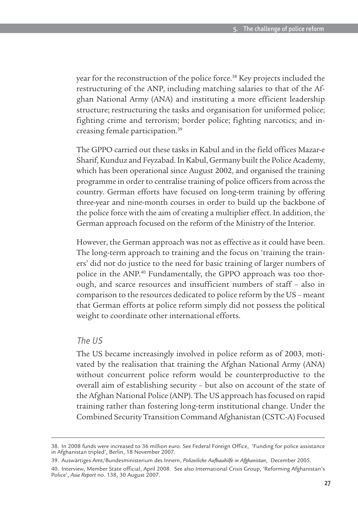year for the reconstruction of the police force.<sup>38</sup> Key projects included the restructuring of the ANP, including matching salaries to that of the Afghan National Army (ANA) and instituting a more efficient leadership structure; restructuring the tasks and organisation for uniformed police; fighting crime and terrorism; border police; fighting narcotics; and increasing female participation.39

The GPPO carried out these tasks in Kabul and in the field offices Mazar-e Sharif, Kunduz and Feyzabad. In Kabul, Germany built the Police Academy, which has been operational since August 2002, and organised the training programme in order to centralise training of police officers from across the country. German efforts have focused on long-term training by offering three-year and nine-month courses in order to build up the backbone of the police force with the aim of creating a multiplier effect. In addition, the German approach focused on the reform of the Ministry of the Interior.

However, the German approach was not as effective as it could have been. The long-term approach to training and the focus on 'training the trainers' did not do justice to the need for basic training of larger numbers of police in the ANP.40 Fundamentally, the GPPO approach was too thorough, and scarce resources and insufficient numbers of staff – also in comparison to the resources dedicated to police reform by the US – meant that German efforts at police reform simply did not possess the political weight to coordinate other international efforts.

#### The US

The US became increasingly involved in police reform as of 2003, motivated by the realisation that training the Afghan National Army (ANA) without concurrent police reform would be counterproductive to the overall aim of establishing security – but also on account of the state of the Afghan National Police (ANP). The US approach has focused on rapid training rather than fostering long-term institutional change. Under the Combined Security Transition Command Afghanistan (CSTC-A) Focused

<sup>38.</sup> In 2008 funds were increased to 36 million euro. See Federal Foreign Office, 'Funding for police assistance in Afghanistan tripled', Berlin, 18 November 2007.

<sup>39.</sup> Auswärtiges Amt/Bundesministerium des Innern, *Polizeiliche Aufbauhilfe in Afghanistan*, December 2005.

<sup>40.</sup> Interview, Member State official, April 2008. See also International Crisis Group, 'Reforming Afghanistan's Police', *Asia Report* no. 138, 30 August 2007.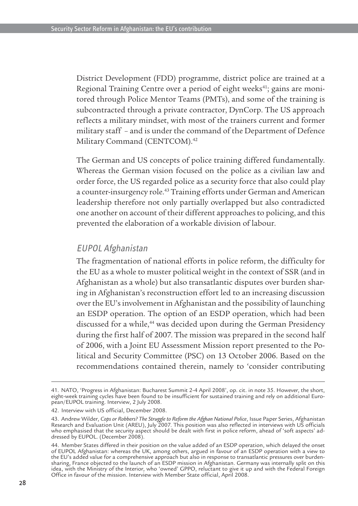District Development (FDD) programme, district police are trained at a Regional Training Centre over a period of eight weeks<sup>41</sup>; gains are monitored through Police Mentor Teams (PMTs), and some of the training is subcontracted through a private contractor, DynCorp. The US approach reflects a military mindset, with most of the trainers current and former military staff – and is under the command of the Department of Defence Military Command (CENTCOM).<sup>42</sup>

The German and US concepts of police training differed fundamentally. Whereas the German vision focused on the police as a civilian law and order force, the US regarded police as a security force that also could play a counter-insurgency role.<sup>43</sup> Training efforts under German and American leadership therefore not only partially overlapped but also contradicted one another on account of their different approaches to policing, and this prevented the elaboration of a workable division of labour.

#### EUPOL Afghanistan

The fragmentation of national efforts in police reform, the difficulty for the EU as a whole to muster political weight in the context of SSR (and in Afghanistan as a whole) but also transatlantic disputes over burden sharing in Afghanistan's reconstruction effort led to an increasing discussion over the EU's involvement in Afghanistan and the possibility of launching an ESDP operation. The option of an ESDP operation, which had been discussed for a while,<sup>44</sup> was decided upon during the German Presidency during the first half of 2007. The mission was prepared in the second half of 2006, with a Joint EU Assessment Mission report presented to the Political and Security Committee (PSC) on 13 October 2006. Based on the recommendations contained therein, namely to 'consider contributing

<sup>41.</sup> NATO, 'Progress in Afghanistan: Bucharest Summit 2-4 April 2008', op. cit. in note 35. However, the short, eight-week training cycles have been found to be insufficient for sustained training and rely on additional European/EUPOL training. Interview, 2 July 2008.

<sup>42.</sup> Interview with US official, December 2008.

<sup>43.</sup> Andrew Wilder, *Cops or Robbers? The Struggle to Reform the Afghan National Police*, Issue Paper Series, Afghanistan Research and Evaluation Unit (AREU), July 2007. This position was also reflected in interviews with US officials who emphasised that the security aspect should be dealt with first in police reform, ahead of 'soft aspects' addressed by EUPOL. (December 2008).

<sup>44.</sup> Member States differed in their position on the value added of an ESDP operation, which delayed the onset of EUPOL Afghanistan: whereas the UK, among others, argued in favour of an ESDP operation with a view to the EU's added value for a comprehensive approach but also in response to transatlantic pressures over burdensharing, France objected to the launch of an ESDP mission in Afghanistan. Germany was internally split on this idea, with the Ministry of the Interior, who 'owned' GPPO, reluctant to give it up and with the Federal Foreign Office in favour of the mission. Interview with Member State official, April 2008.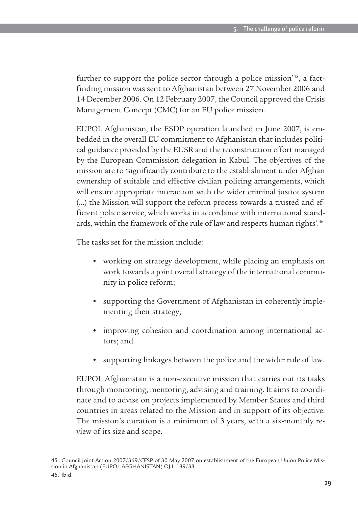further to support the police sector through a police mission<sup>'45</sup>, a factfinding mission was sent to Afghanistan between 27 November 2006 and 14 December 2006. On 12 February 2007, the Council approved the Crisis Management Concept (CMC) for an EU police mission.

EUPOL Afghanistan, the ESDP operation launched in June 2007, is embedded in the overall EU commitment to Afghanistan that includes political guidance provided by the EUSR and the reconstruction effort managed by the European Commission delegation in Kabul. The objectives of the mission are to 'significantly contribute to the establishment under Afghan ownership of suitable and effective civilian policing arrangements, which will ensure appropriate interaction with the wider criminal justice system (…) the Mission will support the reform process towards a trusted and efficient police service, which works in accordance with international standards, within the framework of the rule of law and respects human rights'.46

The tasks set for the mission include:

- working on strategy development, while placing an emphasis on work towards a joint overall strategy of the international community in police reform;
- supporting the Government of Afghanistan in coherently implementing their strategy;
- improving cohesion and coordination among international actors; and
- supporting linkages between the police and the wider rule of law.

EUPOL Afghanistan is a non-executive mission that carries out its tasks through monitoring, mentoring, advising and training. It aims to coordinate and to advise on projects implemented by Member States and third countries in areas related to the Mission and in support of its objective. The mission's duration is a minimum of 3 years, with a six-monthly review of its size and scope.

<sup>45.</sup> Council Joint Action 2007/369/CFSP of 30 May 2007 on establishment of the European Union Police Mission in Afghanistan (EUPOL AFGHANISTAN) OJ L 139/33. 46. Ibid.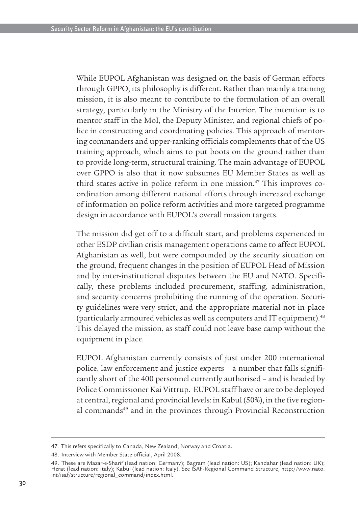While EUPOL Afghanistan was designed on the basis of German efforts through GPPO, its philosophy is different. Rather than mainly a training mission, it is also meant to contribute to the formulation of an overall strategy, particularly in the Ministry of the Interior. The intention is to mentor staff in the MoI, the Deputy Minister, and regional chiefs of police in constructing and coordinating policies. This approach of mentoring commanders and upper-ranking officials complements that of the US training approach, which aims to put boots on the ground rather than to provide long-term, structural training. The main advantage of EUPOL over GPPO is also that it now subsumes EU Member States as well as third states active in police reform in one mission.<sup>47</sup> This improves coordination among different national efforts through increased exchange of information on police reform activities and more targeted programme design in accordance with EUPOL's overall mission targets.

The mission did get off to a difficult start, and problems experienced in other ESDP civilian crisis management operations came to affect EUPOL Afghanistan as well, but were compounded by the security situation on the ground, frequent changes in the position of EUPOL Head of Mission and by inter-institutional disputes between the EU and NATO. Specifically, these problems included procurement, staffing, administration, and security concerns prohibiting the running of the operation. Security guidelines were very strict, and the appropriate material not in place (particularly armoured vehicles as well as computers and IT equipment).48 This delayed the mission, as staff could not leave base camp without the equipment in place.

EUPOL Afghanistan currently consists of just under 200 international police, law enforcement and justice experts – a number that falls significantly short of the 400 personnel currently authorised – and is headed by Police Commissioner Kai Vittrup. EUPOL staff have or are to be deployed at central, regional and provincial levels: in Kabul (50%), in the five regional commands<sup>49</sup> and in the provinces through Provincial Reconstruction

<sup>47.</sup> This refers specifically to Canada, New Zealand, Norway and Croatia.

<sup>48.</sup> Interview with Member State official, April 2008.

<sup>49.</sup> These are Mazar-e-Sharif (lead nation: Germany); Bagram (lead nation: US); Kandahar (lead nation: UK); Herat (lead nation: Italy); Kabul (lead nation: Italy). See ISAF-Regional Command Structure, http://www.nato. int/isaf/structure/regional\_command/index.html.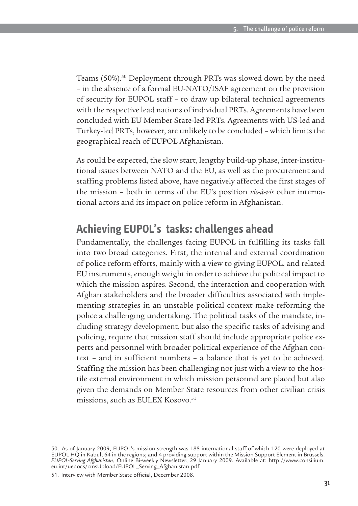<span id="page-32-0"></span>Teams (50%).<sup>50</sup> Deployment through PRTs was slowed down by the need – in the absence of a formal EU-NATO/ISAF agreement on the provision of security for EUPOL staff – to draw up bilateral technical agreements with the respective lead nations of individual PRTs. Agreements have been concluded with EU Member State-led PRTs. Agreements with US-led and Turkey-led PRTs, however, are unlikely to be concluded – which limits the geographical reach of EUPOL Afghanistan.

As could be expected, the slow start, lengthy build-up phase, inter-institutional issues between NATO and the EU, as well as the procurement and staffing problems listed above, have negatively affected the first stages of the mission – both in terms of the EU's position *vis-à-vis* other international actors and its impact on police reform in Afghanistan.

### **Achieving EUPOL's tasks: challenges ahead**

Fundamentally, the challenges facing EUPOL in fulfilling its tasks fall into two broad categories. First, the internal and external coordination of police reform efforts, mainly with a view to giving EUPOL, and related EU instruments, enough weight in order to achieve the political impact to which the mission aspires. Second, the interaction and cooperation with Afghan stakeholders and the broader difficulties associated with implementing strategies in an unstable political context make reforming the police a challenging undertaking. The political tasks of the mandate, including strategy development, but also the specific tasks of advising and policing, require that mission staff should include appropriate police experts and personnel with broader political experience of the Afghan context – and in sufficient numbers – a balance that is yet to be achieved. Staffing the mission has been challenging not just with a view to the hostile external environment in which mission personnel are placed but also given the demands on Member State resources from other civilian crisis missions, such as EULEX Kosovo.<sup>51</sup>

<sup>50.</sup> As of January 2009, EUPOL's mission strength was 188 international staff of which 120 were deployed at EUPOL HQ in Kabul; 64 in the regions; and 4 providing support within the Mission Support Element in Brussels. *EUPOL-Serving Afghanistan*, Online Bi-weekly Newsletter, 29 January 2009. Available at: http://www.consilium. eu.int/uedocs/cmsUpload/EUPOL\_Serving\_Afghanistan.pdf.

<sup>51.</sup> Interview with Member State official, December 2008.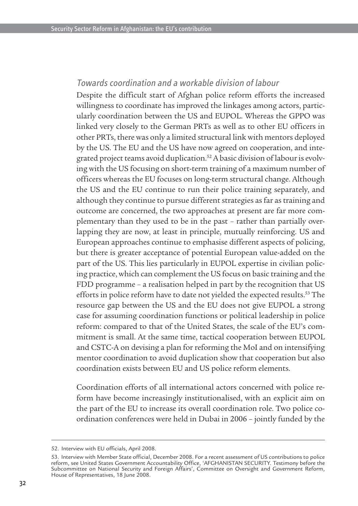#### $T<sub>OWards</sub> condition and a workable division of labour$

Despite the difficult start of Afghan police reform efforts the increased willingness to coordinate has improved the linkages among actors, particularly coordination between the US and EUPOL. Whereas the GPPO was linked very closely to the German PRTs as well as to other EU officers in other PRTs, there was only a limited structural link with mentors deployed by the US. The EU and the US have now agreed on cooperation, and integrated project teams avoid duplication.<sup>52</sup> A basic division of labour is evolving with the US focusing on short-term training of a maximum number of officers whereas the EU focuses on long-term structural change. Although the US and the EU continue to run their police training separately, and although they continue to pursue different strategies as far as training and outcome are concerned, the two approaches at present are far more complementary than they used to be in the past – rather than partially overlapping they are now, at least in principle, mutually reinforcing. US and European approaches continue to emphasise different aspects of policing, but there is greater acceptance of potential European value-added on the part of the US. This lies particularly in EUPOL expertise in civilian policing practice, which can complement the US focus on basic training and the FDD programme – a realisation helped in part by the recognition that US efforts in police reform have to date not yielded the expected results.<sup>53</sup> The resource gap between the US and the EU does not give EUPOL a strong case for assuming coordination functions or political leadership in police reform: compared to that of the United States, the scale of the EU's commitment is small. At the same time, tactical cooperation between EUPOL and CSTC-A on devising a plan for reforming the MoI and on intensifying mentor coordination to avoid duplication show that cooperation but also coordination exists between EU and US police reform elements.

Coordination efforts of all international actors concerned with police reform have become increasingly institutionalised, with an explicit aim on the part of the EU to increase its overall coordination role. Two police coordination conferences were held in Dubai in 2006 – jointly funded by the

<sup>52.</sup> Interview with EU officials, April 2008.

<sup>53.</sup> Interview with Member State official, December 2008. For a recent assessment of US contributions to police reform, see United States Government Accountability Office, 'AFGHANISTAN SECURITY. Testimony before the Subcommittee on National Security and Foreign Affairs', Committee on Oversight and Government Reform, House of Representatives, 18 June 2008.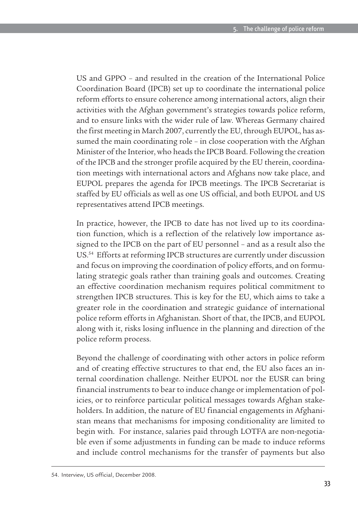US and GPPO – and resulted in the creation of the International Police Coordination Board (IPCB) set up to coordinate the international police reform efforts to ensure coherence among international actors, align their activities with the Afghan government's strategies towards police reform, and to ensure links with the wider rule of law. Whereas Germany chaired the first meeting in March 2007, currently the EU, through EUPOL, has assumed the main coordinating role – in close cooperation with the Afghan Minister of the Interior, who heads the IPCB Board. Following the creation of the IPCB and the stronger profile acquired by the EU therein, coordination meetings with international actors and Afghans now take place, and EUPOL prepares the agenda for IPCB meetings. The IPCB Secretariat is staffed by EU officials as well as one US official, and both EUPOL and US representatives attend IPCB meetings.

In practice, however, the IPCB to date has not lived up to its coordination function, which is a reflection of the relatively low importance assigned to the IPCB on the part of EU personnel – and as a result also the US.<sup>54</sup> Efforts at reforming IPCB structures are currently under discussion and focus on improving the coordination of policy efforts, and on formulating strategic goals rather than training goals and outcomes. Creating an effective coordination mechanism requires political commitment to strengthen IPCB structures. This is key for the EU, which aims to take a greater role in the coordination and strategic guidance of international police reform efforts in Afghanistan. Short of that, the IPCB, and EUPOL along with it, risks losing influence in the planning and direction of the police reform process.

Beyond the challenge of coordinating with other actors in police reform and of creating effective structures to that end, the EU also faces an internal coordination challenge. Neither EUPOL nor the EUSR can bring financial instruments to bear to induce change or implementation of policies, or to reinforce particular political messages towards Afghan stakeholders. In addition, the nature of EU financial engagements in Afghanistan means that mechanisms for imposing conditionality are limited to begin with. For instance, salaries paid through LOTFA are non-negotiable even if some adjustments in funding can be made to induce reforms and include control mechanisms for the transfer of payments but also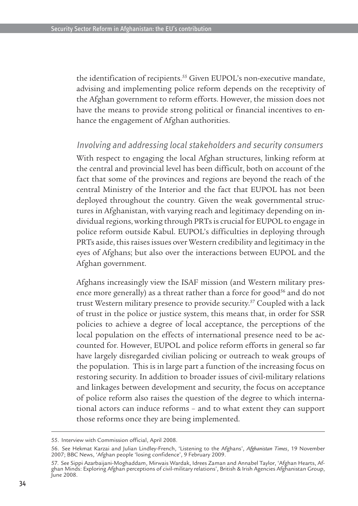the identification of recipients.<sup>55</sup> Given EUPOL's non-executive mandate, advising and implementing police reform depends on the receptivity of the Afghan government to reform efforts. However, the mission does not have the means to provide strong political or financial incentives to enhance the engagement of Afghan authorities.

#### Involving and addressing local stakeholders and security consumers

With respect to engaging the local Afghan structures, linking reform at the central and provincial level has been difficult, both on account of the fact that some of the provinces and regions are beyond the reach of the central Ministry of the Interior and the fact that EUPOL has not been deployed throughout the country. Given the weak governmental structures in Afghanistan, with varying reach and legitimacy depending on individual regions, working through PRTs is crucial for EUPOL to engage in police reform outside Kabul. EUPOL's difficulties in deploying through PRTs aside, this raises issues over Western credibility and legitimacy in the eyes of Afghans; but also over the interactions between EUPOL and the Afghan government.

Afghans increasingly view the ISAF mission (and Western military presence more generally) as a threat rather than a force for good<sup>56</sup> and do not trust Western military presence to provide security.<sup>57</sup> Coupled with a lack of trust in the police or justice system, this means that, in order for SSR policies to achieve a degree of local acceptance, the perceptions of the local population on the effects of international presence need to be accounted for. However, EUPOL and police reform efforts in general so far have largely disregarded civilian policing or outreach to weak groups of the population. This is in large part a function of the increasing focus on restoring security. In addition to broader issues of civil-military relations and linkages between development and security, the focus on acceptance of police reform also raises the question of the degree to which international actors can induce reforms – and to what extent they can support those reforms once they are being implemented.

<sup>55.</sup> Interview with Commission official, April 2008.

<sup>56.</sup> See Hekmat Karzai and Julian Lindley-French, 'Listening to the Afghans', *Afghanistan Times*, 19 November 2007; BBC News, 'Afghan people 'losing confidence', 9 February 2009.

<sup>57.</sup> See Sippi Azarbaijani-Moghaddam, Mirwais Wardak, Idrees Zaman and Annabel Taylor, 'Afghan Hearts, Afghan Minds: Exploring Afghan perceptions of civil-military relations', British & Irish Agencies Afghanistan Group, June 2008.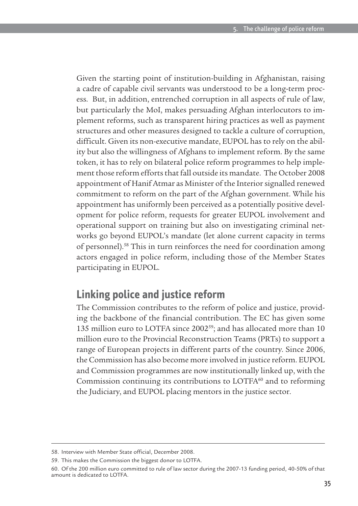<span id="page-36-0"></span>Given the starting point of institution-building in Afghanistan, raising a cadre of capable civil servants was understood to be a long-term process. But, in addition, entrenched corruption in all aspects of rule of law, but particularly the MoI, makes persuading Afghan interlocutors to implement reforms, such as transparent hiring practices as well as payment structures and other measures designed to tackle a culture of corruption, difficult. Given its non-executive mandate, EUPOL has to rely on the ability but also the willingness of Afghans to implement reform. By the same token, it has to rely on bilateral police reform programmes to help implement those reform efforts that fall outside its mandate. The October 2008 appointment of Hanif Atmar as Minister of the Interior signalled renewed commitment to reform on the part of the Afghan government. While his appointment has uniformly been perceived as a potentially positive development for police reform, requests for greater EUPOL involvement and operational support on training but also on investigating criminal networks go beyond EUPOL's mandate (let alone current capacity in terms of personnel).<sup>58</sup> This in turn reinforces the need for coordination among actors engaged in police reform, including those of the Member States participating in EUPOL.

### **Linking police and justice reform**

The Commission contributes to the reform of police and justice, providing the backbone of the financial contribution. The EC has given some 135 million euro to LOTFA since 2002<sup>59</sup>; and has allocated more than 10 million euro to the Provincial Reconstruction Teams (PRTs) to support a range of European projects in different parts of the country. Since 2006, the Commission has also become more involved in justice reform. EUPOL and Commission programmes are now institutionally linked up, with the Commission continuing its contributions to LOTFA<sup>60</sup> and to reforming the Judiciary, and EUPOL placing mentors in the justice sector.

<sup>58.</sup> Interview with Member State official, December 2008.

<sup>59.</sup> This makes the Commission the biggest donor to LOTFA.

<sup>60.</sup> Of the 200 million euro committed to rule of law sector during the 2007-13 funding period, 40-50% of that amount is dedicated to LOTFA.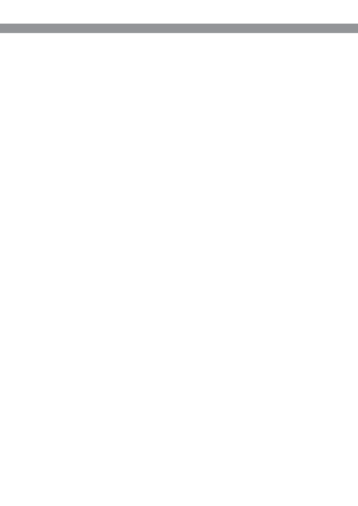a sa kacamatan ing Kabupatèn Kabupatèn Kabupatèn Kabupatèn Kabupatèn Kabupatèn Kabupatèn Kabupatèn Kabupatèn K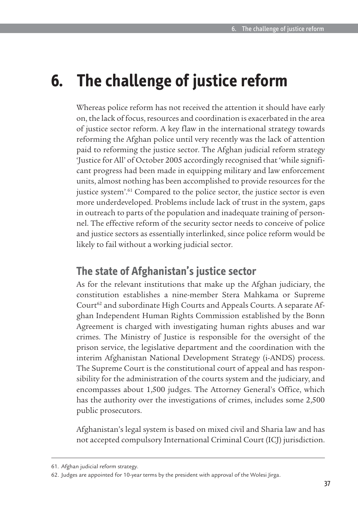## <span id="page-38-0"></span>**6.** The challenge of justice reform

Whereas police reform has not received the attention it should have early on, the lack of focus, resources and coordination is exacerbated in the area of justice sector reform. A key flaw in the international strategy towards reforming the Afghan police until very recently was the lack of attention paid to reforming the justice sector. The Afghan judicial reform strategy 'Justice for All' of October 2005 accordingly recognised that 'while significant progress had been made in equipping military and law enforcement units, almost nothing has been accomplished to provide resources for the justice system'.61 Compared to the police sector, the justice sector is even more underdeveloped. Problems include lack of trust in the system, gaps in outreach to parts of the population and inadequate training of personnel. The effective reform of the security sector needs to conceive of police and justice sectors as essentially interlinked, since police reform would be likely to fail without a working judicial sector.

### **The state of Afghanistan's justice sector**

As for the relevant institutions that make up the Afghan judiciary, the constitution establishes a nine-member Stera Mahkama or Supreme Court<sup>62</sup> and subordinate High Courts and Appeals Courts. A separate Afghan Independent Human Rights Commission established by the Bonn Agreement is charged with investigating human rights abuses and war crimes. The Ministry of Justice is responsible for the oversight of the prison service, the legislative department and the coordination with the interim Afghanistan National Development Strategy (i-ANDS) process. The Supreme Court is the constitutional court of appeal and has responsibility for the administration of the courts system and the judiciary, and encompasses about 1,500 judges. The Attorney General's Office, which has the authority over the investigations of crimes, includes some 2,500 public prosecutors.

Afghanistan's legal system is based on mixed civil and Sharia law and has not accepted compulsory International Criminal Court (ICJ) jurisdiction.

<sup>61.</sup> Afghan judicial reform strategy.

<sup>62.</sup> Judges are appointed for 10-year terms by the president with approval of the Wolesi Jirga.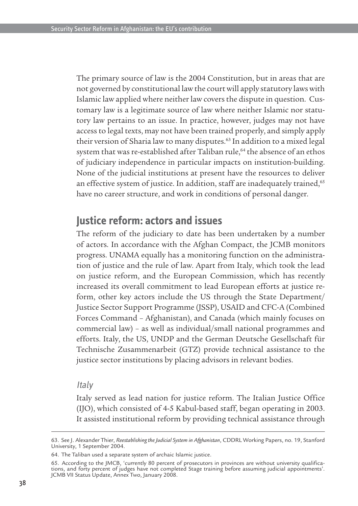<span id="page-39-0"></span>The primary source of law is the 2004 Constitution, but in areas that are not governed by constitutional law the court will apply statutory laws with Islamic law applied where neither law covers the dispute in question. Customary law is a legitimate source of law where neither Islamic nor statutory law pertains to an issue. In practice, however, judges may not have access to legal texts, may not have been trained properly, and simply apply their version of Sharia law to many disputes.<sup>63</sup> In addition to a mixed legal system that was re-established after Taliban rule,<sup>64</sup> the absence of an ethos of judiciary independence in particular impacts on institution-building. None of the judicial institutions at present have the resources to deliver an effective system of justice. In addition, staff are inadequately trained,<sup>65</sup> have no career structure, and work in conditions of personal danger.

### **Justice reform: actors and issues**

The reform of the judiciary to date has been undertaken by a number of actors. In accordance with the Afghan Compact, the JCMB monitors progress. UNAMA equally has a monitoring function on the administration of justice and the rule of law. Apart from Italy, which took the lead on justice reform, and the European Commission, which has recently increased its overall commitment to lead European efforts at justice reform, other key actors include the US through the State Department/ Justice Sector Support Programme (JSSP), USAID and CFC-A (Combined Forces Command – Afghanistan), and Canada (which mainly focuses on commercial law) – as well as individual/small national programmes and efforts. Italy, the US, UNDP and the German Deutsche Gesellschaft für Technische Zusammenarbeit (GTZ) provide technical assistance to the justice sector institutions by placing advisors in relevant bodies.

#### Italy

Italy served as lead nation for justice reform. The Italian Justice Office (IJO), which consisted of 4-5 Kabul-based staff, began operating in 2003. It assisted institutional reform by providing technical assistance through

<sup>63.</sup> See J. Alexander Thier, *Reestablishing the Judicial System in Afghanistan*, CDDRL Working Papers, no. 19, Stanford University, 1 September 2004.

<sup>64.</sup> The Taliban used a separate system of archaic Islamic justice.

<sup>65.</sup> According to the JMCB, 'currently 80 percent of prosecutors in provinces are without university qualifications, and forty percent of judges have not completed Stage training before assuming judicial appointments'. JCMB VII Status Update, Annex Two, January 2008.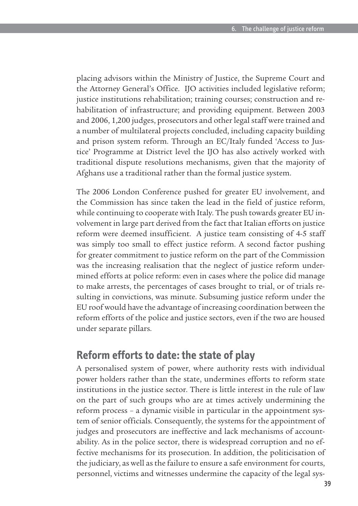<span id="page-40-0"></span>placing advisors within the Ministry of Justice, the Supreme Court and the Attorney General's Office. IJO activities included legislative reform; justice institutions rehabilitation; training courses; construction and rehabilitation of infrastructure; and providing equipment. Between 2003 and 2006, 1,200 judges, prosecutors and other legal staff were trained and a number of multilateral projects concluded, including capacity building and prison system reform. Through an EC/Italy funded 'Access to Justice' Programme at District level the IJO has also actively worked with traditional dispute resolutions mechanisms, given that the majority of Afghans use a traditional rather than the formal justice system.

The 2006 London Conference pushed for greater EU involvement, and the Commission has since taken the lead in the field of justice reform, while continuing to cooperate with Italy. The push towards greater EU involvement in large part derived from the fact that Italian efforts on justice reform were deemed insufficient. A justice team consisting of 4-5 staff was simply too small to effect justice reform. A second factor pushing for greater commitment to justice reform on the part of the Commission was the increasing realisation that the neglect of justice reform undermined efforts at police reform: even in cases where the police did manage to make arrests, the percentages of cases brought to trial, or of trials resulting in convictions, was minute. Subsuming justice reform under the EU roof would have the advantage of increasing coordination between the reform efforts of the police and justice sectors, even if the two are housed under separate pillars.

### **Reform efforts to date: the state of play**

A personalised system of power, where authority rests with individual power holders rather than the state, undermines efforts to reform state institutions in the justice sector. There is little interest in the rule of law on the part of such groups who are at times actively undermining the reform process – a dynamic visible in particular in the appointment system of senior officials. Consequently, the systems for the appointment of judges and prosecutors are ineffective and lack mechanisms of accountability. As in the police sector, there is widespread corruption and no effective mechanisms for its prosecution. In addition, the politicisation of the judiciary, as well as the failure to ensure a safe environment for courts, personnel, victims and witnesses undermine the capacity of the legal sys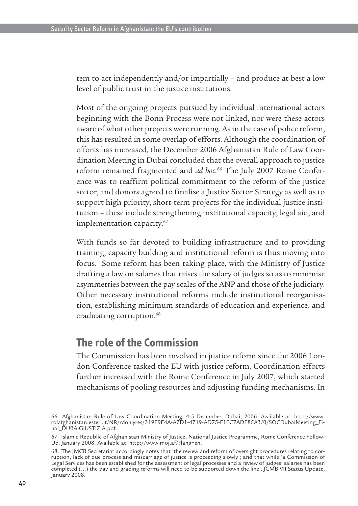<span id="page-41-0"></span>tem to act independently and/or impartially – and produce at best a low level of public trust in the justice institutions.

Most of the ongoing projects pursued by individual international actors beginning with the Bonn Process were not linked, nor were these actors aware of what other projects were running. As in the case of police reform, this has resulted in some overlap of efforts. Although the coordination of efforts has increased, the December 2006 Afghanistan Rule of Law Coordination Meeting in Dubai concluded that the overall approach to justice reform remained fragmented and *ad hoc.*66 The July 2007 Rome Conference was to reaffirm political commitment to the reform of the justice sector, and donors agreed to finalise a Justice Sector Strategy as well as to support high priority, short-term projects for the individual justice institution – these include strengthening institutional capacity; legal aid; and implementation capacity.67

With funds so far devoted to building infrastructure and to providing training, capacity building and institutional reform is thus moving into focus. Some reform has been taking place, with the Ministry of Justice drafting a law on salaries that raises the salary of judges so as to minimise asymmetries between the pay scales of the ANP and those of the judiciary. Other necessary institutional reforms include institutional reorganisation, establishing minimum standards of education and experience, and eradicating corruption.<sup>68</sup>

### **The role of the Commission**

The Commission has been involved in justice reform since the 2006 London Conference tasked the EU with justice reform. Coordination efforts further increased with the Rome Conference in July 2007, which started mechanisms of pooling resources and adjusting funding mechanisms. In

<sup>66.</sup> Afghanistan Rule of Law Coordination Meeting, 4-5 December, Dubai, 2006. Available at: http://www. rolafghanistan.esteri.it/NR/rdonlyres/319E9E4A-A7D1-4719-AD75-F1EC7ADE85A3/0/SOCDubaiMeeting\_Final\_DUBAIGIUSTIZIA.pdf.

<sup>67.</sup> Islamic Republic of Afghanistan Ministry of Justice, National Justice Programme, Rome Conference Follow-Up, January 2008. Available at: http://www.moj.af/?lang=en.

<sup>68.</sup> The JMCB Secretariat accordingly notes that 'the review and reform of oversight procedures relating to corruption, lack of due process and miscarriage of justice is proceeding slowly'; and that while 'a Commission of Legal Services has been established for the assessment of legal processes and a review of judges' salaries has been completed (…) the pay and grading reforms will need to be supported down the line'. JCMB VII Status Update, January 2008.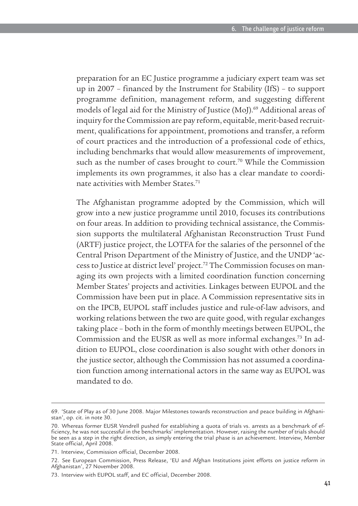preparation for an EC Justice programme a judiciary expert team was set up in 2007 – financed by the Instrument for Stability (IfS) – to support programme definition, management reform, and suggesting different models of legal aid for the Ministry of Justice (MoJ).<sup>69</sup> Additional areas of inquiry for the Commission are pay reform, equitable, merit-based recruitment, qualifications for appointment, promotions and transfer, a reform of court practices and the introduction of a professional code of ethics, including benchmarks that would allow measurements of improvement, such as the number of cases brought to court.<sup>70</sup> While the Commission implements its own programmes, it also has a clear mandate to coordinate activities with Member States.71

The Afghanistan programme adopted by the Commission, which will grow into a new justice programme until 2010, focuses its contributions on four areas. In addition to providing technical assistance, the Commission supports the multilateral Afghanistan Reconstruction Trust Fund (ARTF) justice project, the LOTFA for the salaries of the personnel of the Central Prison Department of the Ministry of Justice, and the UNDP 'access to Justice at district level' project.72 The Commission focuses on managing its own projects with a limited coordination function concerning Member States' projects and activities. Linkages between EUPOL and the Commission have been put in place. A Commission representative sits in on the IPCB, EUPOL staff includes justice and rule-of-law advisors, and working relations between the two are quite good, with regular exchanges taking place – both in the form of monthly meetings between EUPOL, the Commission and the EUSR as well as more informal exchanges.73 In addition to EUPOL, close coordination is also sought with other donors in the justice sector, although the Commission has not assumed a coordination function among international actors in the same way as EUPOL was mandated to do.

<sup>69. &#</sup>x27;State of Play as of 30 June 2008. Major Milestones towards reconstruction and peace building in Afghanistan', op. cit. in note 30.

<sup>70.</sup> Whereas former EUSR Vendrell pushed for establishing a quota of trials vs. arrests as a benchmark of efficiency, he was not successful in the benchmarks' implementation. However, raising the number of trials should be seen as a step in the right direction, as simply entering the trial phase is an achievement. Interview, Member State official, April 2008.

<sup>71.</sup> Interview, Commission official, December 2008.

<sup>72.</sup> See European Commission, Press Release, 'EU and Afghan Institutions joint efforts on justice reform in Afghanistan', 27 November 2008.

<sup>73.</sup> Interview with EUPOL staff, and EC official, December 2008.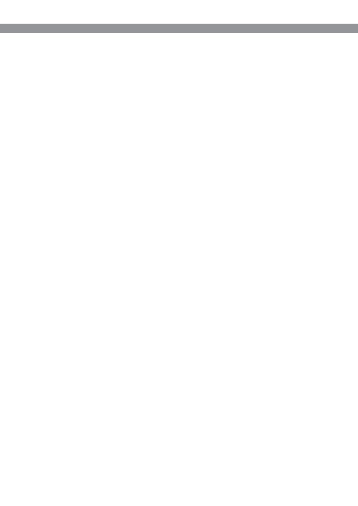a sa kacamatan ing Kabupatèn Kabupatèn Kabupatèn Kabupatèn Kabupatèn Kabupatèn Kabupatèn Kabupatèn Kabupatèn K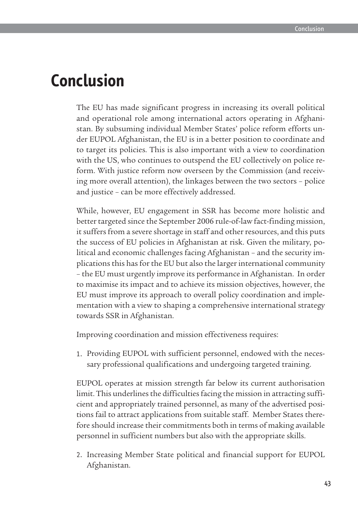## <span id="page-44-0"></span>**Conclusion**

The EU has made significant progress in increasing its overall political and operational role among international actors operating in Afghanistan. By subsuming individual Member States' police reform efforts under EUPOL Afghanistan, the EU is in a better position to coordinate and to target its policies. This is also important with a view to coordination with the US, who continues to outspend the EU collectively on police reform. With justice reform now overseen by the Commission (and receiving more overall attention), the linkages between the two sectors – police and justice – can be more effectively addressed.

While, however, EU engagement in SSR has become more holistic and better targeted since the September 2006 rule-of-law fact-finding mission, it suffers from a severe shortage in staff and other resources, and this puts the success of EU policies in Afghanistan at risk. Given the military, political and economic challenges facing Afghanistan – and the security implications this has for the EU but also the larger international community – the EU must urgently improve its performance in Afghanistan. In order to maximise its impact and to achieve its mission objectives, however, the EU must improve its approach to overall policy coordination and implementation with a view to shaping a comprehensive international strategy towards SSR in Afghanistan.

Improving coordination and mission effectiveness requires:

 Providing EUPOL with sufficient personnel, endowed with the necessary professional qualifications and undergoing targeted training.

EUPOL operates at mission strength far below its current authorisation limit. This underlines the difficulties facing the mission in attracting sufficient and appropriately trained personnel, as many of the advertised positions fail to attract applications from suitable staff. Member States therefore should increase their commitments both in terms of making available personnel in sufficient numbers but also with the appropriate skills.

2. Increasing Member State political and financial support for EUPOL Afghanistan.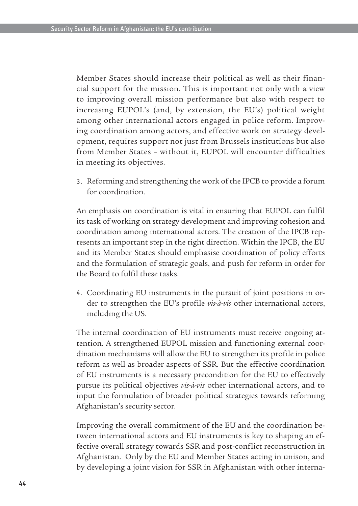Member States should increase their political as well as their financial support for the mission. This is important not only with a view to improving overall mission performance but also with respect to increasing EUPOL's (and, by extension, the EU's) political weight among other international actors engaged in police reform. Improving coordination among actors, and effective work on strategy development, requires support not just from Brussels institutions but also from Member States – without it, EUPOL will encounter difficulties in meeting its objectives.

3. Reforming and strengthening the work of the IPCB to provide a forum for coordination.

An emphasis on coordination is vital in ensuring that EUPOL can fulfil its task of working on strategy development and improving cohesion and coordination among international actors. The creation of the IPCB represents an important step in the right direction. Within the IPCB, the EU and its Member States should emphasise coordination of policy efforts and the formulation of strategic goals, and push for reform in order for the Board to fulfil these tasks.

 Coordinating EU instruments in the pursuit of joint positions in order to strengthen the EU's profile *vis-à-vis* other international actors, including the US.

The internal coordination of EU instruments must receive ongoing attention. A strengthened EUPOL mission and functioning external coordination mechanisms will allow the EU to strengthen its profile in police reform as well as broader aspects of SSR. But the effective coordination of EU instruments is a necessary precondition for the EU to effectively pursue its political objectives *vis-à-vis* other international actors, and to input the formulation of broader political strategies towards reforming Afghanistan's security sector.

Improving the overall commitment of the EU and the coordination between international actors and EU instruments is key to shaping an effective overall strategy towards SSR and post-conflict reconstruction in Afghanistan. Only by the EU and Member States acting in unison, and by developing a joint vision for SSR in Afghanistan with other interna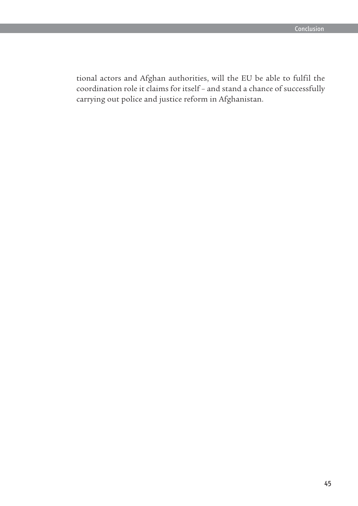tional actors and Afghan authorities, will the EU be able to fulfil the coordination role it claims for itself – and stand a chance of successfully carrying out police and justice reform in Afghanistan.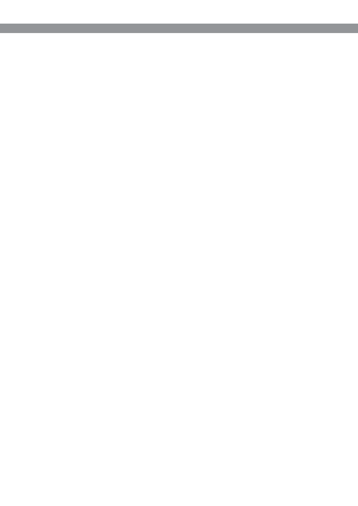a sa kacamatan ing Kabupatèn Kabupatèn Kabupatèn Kabupatèn Kabupatèn Kabupatèn Kabupatèn Kabupatèn Kabupatèn K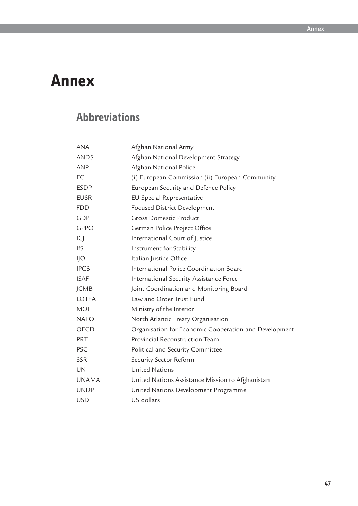## <span id="page-48-0"></span>**Annex**

## **Abbreviations**

| <b>ANA</b>   | Afghan National Army                                  |  |
|--------------|-------------------------------------------------------|--|
| <b>ANDS</b>  | Afghan National Development Strategy                  |  |
| ANP          | Afghan National Police                                |  |
| EC           | (i) European Commission (ii) European Community       |  |
| <b>ESDP</b>  | European Security and Defence Policy                  |  |
| <b>EUSR</b>  | EU Special Representative                             |  |
| <b>FDD</b>   | <b>Focused District Development</b>                   |  |
| <b>GDP</b>   | <b>Gross Domestic Product</b>                         |  |
| <b>GPPO</b>  | German Police Project Office                          |  |
| ICJ          | International Court of Justice                        |  |
| <b>IfS</b>   | Instrument for Stability                              |  |
| IJO          | Italian Justice Office                                |  |
| <b>IPCB</b>  | International Police Coordination Board               |  |
| <b>ISAF</b>  | International Security Assistance Force               |  |
| <b>JCMB</b>  | Joint Coordination and Monitoring Board               |  |
| <b>LOTFA</b> | Law and Order Trust Fund                              |  |
| <b>MOI</b>   | Ministry of the Interior                              |  |
| <b>NATO</b>  | North Atlantic Treaty Organisation                    |  |
| OECD         | Organisation for Economic Cooperation and Development |  |
| PRT          | Provincial Reconstruction Team                        |  |
| PSC          | Political and Security Committee                      |  |
| <b>SSR</b>   | Security Sector Reform                                |  |
| <b>UN</b>    | <b>United Nations</b>                                 |  |
| <b>UNAMA</b> | United Nations Assistance Mission to Afghanistan      |  |
| <b>UNDP</b>  | United Nations Development Programme                  |  |
| <b>USD</b>   | US dollars                                            |  |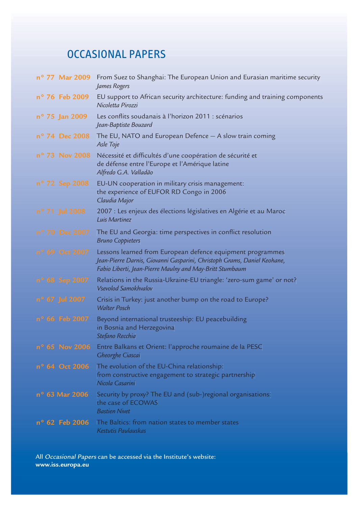### OCCASIONAL PAPERS

|                            | n <sup>o</sup> 77 Mar 2009 From Suez to Shanghai: The European Union and Eurasian maritime security<br>James Rogers                                                                                |
|----------------------------|----------------------------------------------------------------------------------------------------------------------------------------------------------------------------------------------------|
| nº 76 Feb 2009             | EU support to African security architecture: funding and training components<br>Nicoletta Pirozzi                                                                                                  |
| nº 75 Jan 2009             | Les conflits soudanais à l'horizon 2011 : scénarios<br>Jean-Baptiste Bouzard                                                                                                                       |
| nº 74 Dec 2008             | The EU, NATO and European Defence - A slow train coming<br>Asle Toje                                                                                                                               |
| nº 73 Nov 2008             | Nécessité et difficultés d'une coopération de sécurité et<br>de défense entre l'Europe et l'Amérique latine<br>Alfredo G.A. Valladão                                                               |
| n <sup>o</sup> 72 Sep 2008 | EU-UN cooperation in military crisis management:<br>the experience of EUFOR RD Congo in 2006<br>Claudia Major                                                                                      |
| nº 71 Jul 2008             | 2007 : Les enjeux des élections législatives en Algérie et au Maroc<br>Luis Martinez                                                                                                               |
| n° 70 Dec 2007             | The EU and Georgia: time perspectives in conflict resolution<br><b>Bruno Coppieters</b>                                                                                                            |
| n <sup>o</sup> 69 Oct 2007 | Lessons learned from European defence equipment programmes<br>Jean-Pierre Darnis, Giovanni Gasparini, Christoph Grams, Daniel Keohane,<br>Fabio Liberti, Jean-Pierre Maulny and May-Britt Stumbaum |
| n° 68 Sep 2007             | Relations in the Russia-Ukraine-EU triangle: 'zero-sum game' or not?<br>Vsevolod Samokhvalov                                                                                                       |
| $n^{\circ}$ 67 Jul 2007    | Crisis in Turkey: just another bump on the road to Europe?<br><b>Walter Posch</b>                                                                                                                  |
| n <sup>o</sup> 66 Feb 2007 | Beyond international trusteeship: EU peacebuilding<br>in Bosnia and Herzegovina<br>Stefano Recchia                                                                                                 |
|                            | nº 65 Nov 2006 Entre Balkans et Orient: l'approche roumaine de la PESC<br>Gheorghe Ciascai                                                                                                         |
| n <sup>o</sup> 64 Oct 2006 | The evolution of the EU-China relationship:<br>from constructive engagement to strategic partnership<br>Nicola Casarini                                                                            |
| n <sup>o</sup> 63 Mar 2006 | Security by proxy? The EU and (sub-)regional organisations:<br>the case of ECOWAS<br><b>Bastien Nivet</b>                                                                                          |
| $n^{\circ}$ 62 Feb 2006    | The Baltics: from nation states to member states<br>Kestutis Paulauskas                                                                                                                            |

All Occasional Papers can be accessed via the Institute's website: **www.iss.europa.eu**